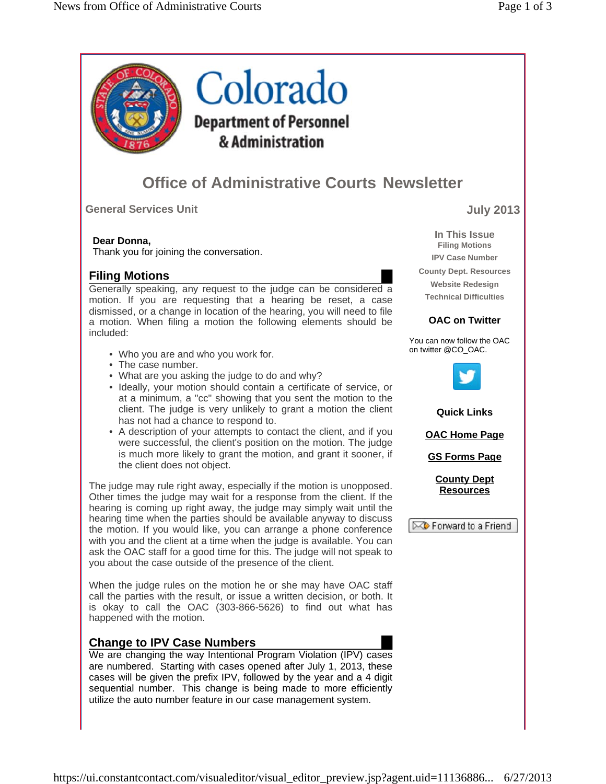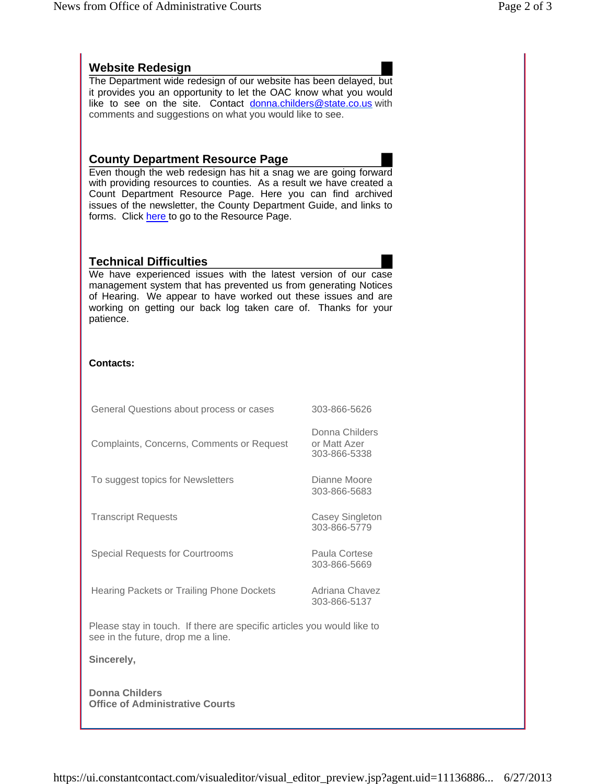## **Website Redesign**

The Department wide redesign of our website has been delayed, but it provides you an opportunity to let the OAC know what you would like to see on the site. Contact donna.childers@state.co.us with comments and suggestions on what you would like to see.

## **County Department Resource Page**

Even though the web redesign has hit a snag we are going forward with providing resources to counties. As a result we have created a Count Department Resource Page. Here you can find archived issues of the newsletter, the County Department Guide, and links to forms. Click here to go to the Resource Page.

## **Technical Difficulties**



We have experienced issues with the latest version of our case management system that has prevented us from generating Notices of Hearing. We appear to have worked out these issues and are working on getting our back log taken care of. Thanks for your patience.

## **Contacts:**

| General Questions about process or cases                                                                     | 303-866-5626                                   |
|--------------------------------------------------------------------------------------------------------------|------------------------------------------------|
| Complaints, Concerns, Comments or Request                                                                    | Donna Childers<br>or Matt Azer<br>303-866-5338 |
| To suggest topics for Newsletters                                                                            | Dianne Moore<br>303-866-5683                   |
| <b>Transcript Requests</b>                                                                                   | Casey Singleton<br>303-866-5779                |
| <b>Special Requests for Courtrooms</b>                                                                       | Paula Cortese<br>303-866-5669                  |
| Hearing Packets or Trailing Phone Dockets                                                                    | Adriana Chavez<br>303-866-5137                 |
| Please stay in touch. If there are specific articles you would like to<br>see in the future, drop me a line. |                                                |
| Sincerely,                                                                                                   |                                                |
| <b>Donna Childers</b><br><b>Office of Administrative Courts</b>                                              |                                                |